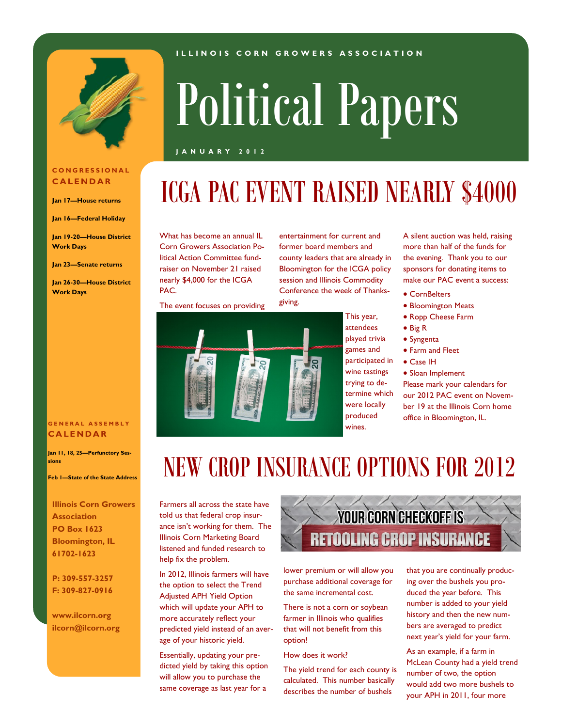

# Political Papers

**I L L I N O I S C O R N G R O W E R S A S S O C I A T I O N**

#### **J A N U A R Y 2 0 1 2**

#### **C O N G R E S S I O N A L C A L E N D A R**

**Jan 17—House returns**

**Jan 16—Federal Holiday**

**Jan 19-20—House District Work Days**

**Jan 23—Senate returns**

**Jan 26-30—House District Work Days**

#### **G E N E R A L A S S E M B L Y C A L E N D A R**

**Jan 11, 18, 25—Perfunctory Sessions**

**Feb 1—State of the State Address**

**Illinois Corn Growers Association PO Box 1623 Bloomington, IL 61702-1623**

**P: 309-557-3257 F: 309-827-0916**

**www.ilcorn.org ilcorn@ilcorn.org** What has become an annual IL Corn Growers Association Political Action Committee fundraiser on November 21 raised nearly \$4,000 for the ICGA PAC.

entertainment for current and former board members and county leaders that are already in Bloomington for the ICGA policy session and Illinois Commodity Conference the week of Thanksgiving.

The event focuses on providing



This year, attendees played trivia games and participated in wine tastings trying to determine which were locally produced wines.

A silent auction was held, raising more than half of the funds for the evening. Thank you to our sponsors for donating items to make our PAC event a success:

- CornBelters
- Bloomington Meats
	- Ropp Cheese Farm
	- Big R
	- Syngenta
	- Farm and Fleet
- Case IH
	- Sloan Implement

Please mark your calendars for our 2012 PAC event on November 19 at the Illinois Corn home office in Bloomington, IL.

### NEW CROP INSURANCE OPTIONS FOR 2012

Farmers all across the state have told us that federal crop insurance isn't working for them. The Illinois Corn Marketing Board listened and funded research to help fix the problem.

In 2012, Illinois farmers will have the option to select the Trend Adjusted APH Yield Option which will update your APH to more accurately reflect your predicted yield instead of an average of your historic yield.

Essentially, updating your predicted yield by taking this option will allow you to purchase the same coverage as last year for a



lower premium or will allow you purchase additional coverage for the same incremental cost.

There is not a corn or soybean farmer in Illinois who qualifies that will not benefit from this option!

How does it work?

The yield trend for each county is calculated. This number basically describes the number of bushels

that you are continually producing over the bushels you produced the year before. This number is added to your yield history and then the new numbers are averaged to predict next year's yield for your farm.

As an example, if a farm in McLean County had a yield trend number of two, the option would add two more bushels to your APH in 2011, four more

# ICGA PAC EVENT RAISED NEARLY \$4000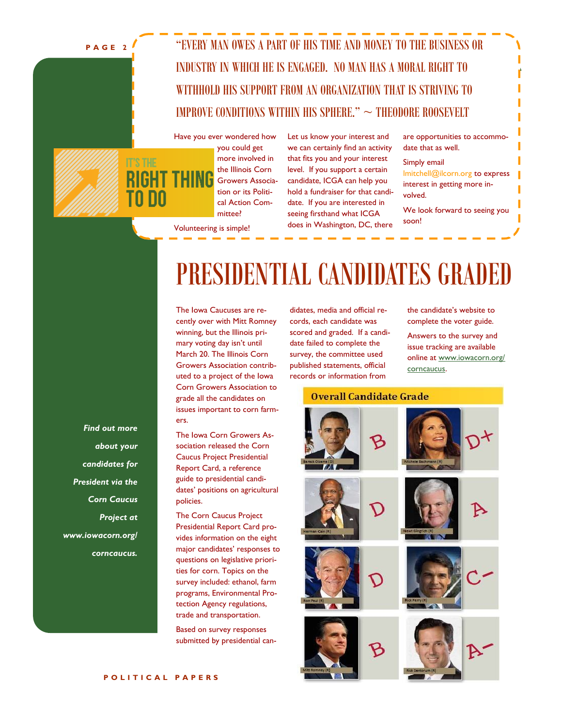**P A G E 2**

### "EVERY MAN OWES A PART OF HIS TIME AND MONEY TO THE BUSINESS OR INDUSTRY IN WHICH HE IS ENGAGED. NO MAN HAS A MORAL RIGHT TO WITHHOLD HIS SUPPORT FROM AN ORGANIZATION THAT IS STRIVING TO IMPROVE CONDITIONS WITHIN HIS SPHERE."  $\sim$  THEODORE ROOSEVELT



Have you ever wondered how you could get more involved in the Illinois Corn Growers Association or its Political Action Committee?

Let us know your interest and we can certainly find an activity that fits you and your interest level. If you support a certain candidate, ICGA can help you hold a fundraiser for that candidate. If you are interested in seeing firsthand what ICGA does in Washington, DC, there are opportunities to accommodate that as well.

Simply email lmitchell@ilcorn.org to express interest in getting more involved.

We look forward to seeing you soon!

Volunteering is simple!

### PRESIDENTIAL CANDIDATES GRADED

The Iowa Caucuses are recently over with Mitt Romney winning, but the Illinois primary voting day isn't until March 20. The Illinois Corn Growers Association contributed to a project of the Iowa Corn Growers Association to grade all the candidates on issues important to corn farmers.

The Iowa Corn Growers Association released the Corn Caucus Project Presidential Report Card, a reference guide to presidential candidates' positions on agricultural policies.

The Corn Caucus Project Presidential Report Card provides information on the eight major candidates' responses to questions on legislative priorities for corn. Topics on the survey included: ethanol, farm programs, Environmental Protection Agency regulations, trade and transportation.

Based on survey responses submitted by presidential candidates, media and official records, each candidate was scored and graded. If a candidate failed to complete the survey, the committee used published statements, official records or information from

the candidate's website to complete the voter guide.

Answers to the survey and issue tracking are available online at [www.iowacorn.org/](http://www.iowacorn.org/corncaucus) [corncaucus.](http://www.iowacorn.org/corncaucus)

#### **Overall Candidate Grade**



*Find out more about your candidates for President via the Corn Caucus Project at www.iowacorn.org/ corncaucus.*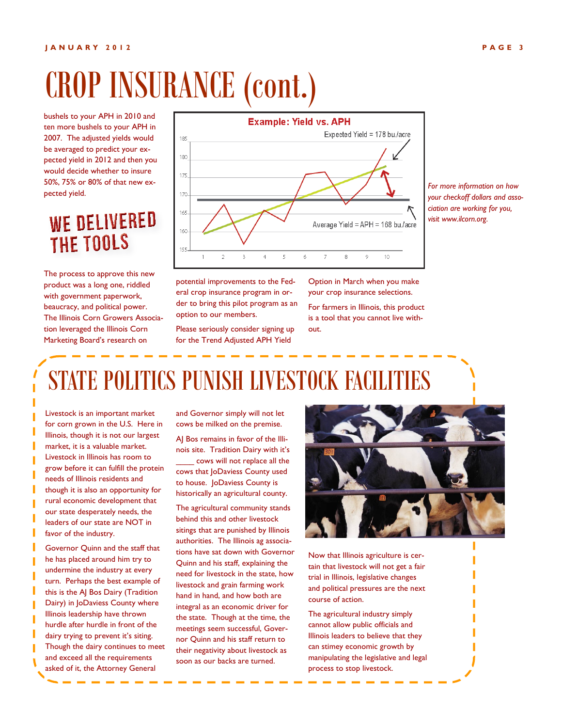# CROP INSURANCE (cont.)

bushels to your APH in 2010 and ten more bushels to your APH in 2007. The adjusted yields would be averaged to predict your expected yield in 2012 and then you would decide whether to insure 50%, 75% or 80% of that new expected yield.

### WE DELIVERED **THE TOOLS**

The process to approve this new product was a long one, riddled with government paperwork, beaucracy, and political power. The Illinois Corn Growers Association leveraged the Illinois Corn Marketing Board's research on



*For more information on how your checkoff dollars and association are working for you, visit www.ilcorn.org.*

potential improvements to the Federal crop insurance program in order to bring this pilot program as an option to our members.

Please seriously consider signing up for the Trend Adjusted APH Yield

Option in March when you make your crop insurance selections.

For farmers in Illinois, this product is a tool that you cannot live without.

# STATE POLITICS PUNISH LIVESTOCK FACILITIES

Livestock is an important market for corn grown in the U.S. Here in Illinois, though it is not our largest market, it is a valuable market. Livestock in Illinois has room to grow before it can fulfill the protein needs of Illinois residents and though it is also an opportunity for rural economic development that our state desperately needs, the leaders of our state are NOT in favor of the industry.

Governor Quinn and the staff that he has placed around him try to undermine the industry at every turn. Perhaps the best example of this is the AJ Bos Dairy (Tradition Dairy) in JoDaviess County where Illinois leadership have thrown hurdle after hurdle in front of the dairy trying to prevent it's siting. Though the dairy continues to meet and exceed all the requirements asked of it, the Attorney General

and Governor simply will not let cows be milked on the premise.

AJ Bos remains in favor of the Illinois site. Tradition Dairy with it's cows will not replace all the

cows that JoDaviess County used to house. JoDaviess County is historically an agricultural county.

The agricultural community stands behind this and other livestock sitings that are punished by Illinois authorities. The Illinois ag associations have sat down with Governor Quinn and his staff, explaining the need for livestock in the state, how livestock and grain farming work hand in hand, and how both are integral as an economic driver for the state. Though at the time, the meetings seem successful, Governor Quinn and his staff return to their negativity about livestock as soon as our backs are turned.



Now that Illinois agriculture is certain that livestock will not get a fair trial in Illinois, legislative changes and political pressures are the next course of action.

The agricultural industry simply cannot allow public officials and Illinois leaders to believe that they can stimey economic growth by manipulating the legislative and legal process to stop livestock.